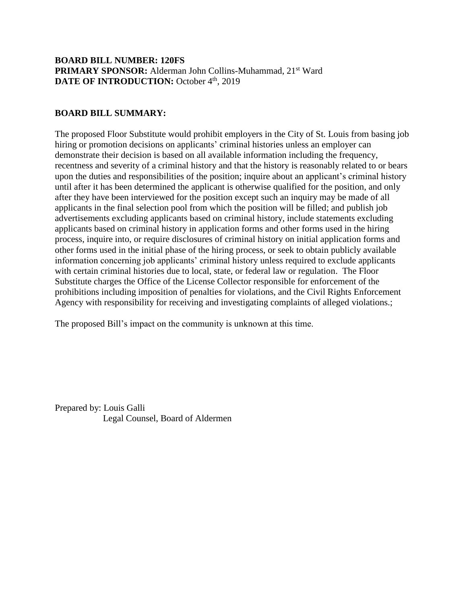## **BOARD BILL NUMBER: 120FS PRIMARY SPONSOR:** Alderman John Collins-Muhammad, 21<sup>st</sup> Ward **DATE OF INTRODUCTION:** October 4<sup>th</sup>, 2019

## **BOARD BILL SUMMARY:**

The proposed Floor Substitute would prohibit employers in the City of St. Louis from basing job hiring or promotion decisions on applicants' criminal histories unless an employer can demonstrate their decision is based on all available information including the frequency, recentness and severity of a criminal history and that the history is reasonably related to or bears upon the duties and responsibilities of the position; inquire about an applicant's criminal history until after it has been determined the applicant is otherwise qualified for the position, and only after they have been interviewed for the position except such an inquiry may be made of all applicants in the final selection pool from which the position will be filled; and publish job advertisements excluding applicants based on criminal history, include statements excluding applicants based on criminal history in application forms and other forms used in the hiring process, inquire into, or require disclosures of criminal history on initial application forms and other forms used in the initial phase of the hiring process, or seek to obtain publicly available information concerning job applicants' criminal history unless required to exclude applicants with certain criminal histories due to local, state, or federal law or regulation. The Floor Substitute charges the Office of the License Collector responsible for enforcement of the prohibitions including imposition of penalties for violations, and the Civil Rights Enforcement Agency with responsibility for receiving and investigating complaints of alleged violations.;

The proposed Bill's impact on the community is unknown at this time.

Prepared by: Louis Galli Legal Counsel, Board of Aldermen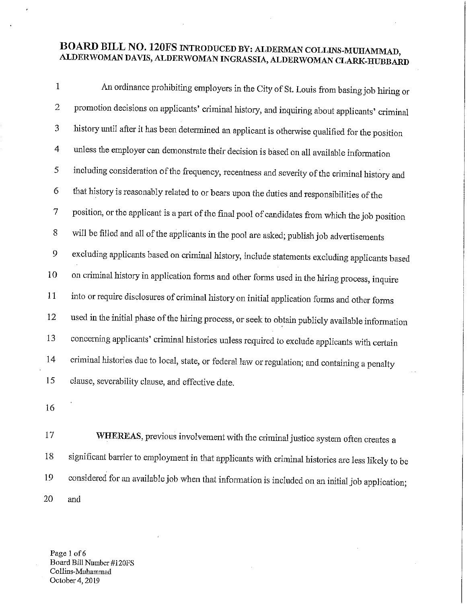# BOARD BILL NO. 120FS INTRODUCED BY: ALDERMAN COLLINS-MUHAMMAD, ALDERWOMAN DAVIS, ALDERWOMAN INGRASSIA, ALDERWOMAN CLARK-HUBBARD

An ordinance prohibiting employers in the City of St. Louis from basing job hiring or  $\mathbf{1}$ promotion decisions on applicants' criminal history, and inquiring about applicants' criminal  $\overline{2}$ history until after it has been determined an applicant is otherwise qualified for the position 3 unless the employer can demonstrate their decision is based on all available information  $\overline{4}$ 5 including consideration of the frequency, recentness and severity of the criminal history and that history is reasonably related to or bears upon the duties and responsibilities of the 6 position, or the applicant is a part of the final pool of candidates from which the job position 7 will be filled and all of the applicants in the pool are asked; publish job advertisements 8 excluding applicants based on criminal history, include statements excluding applicants based 9 on criminal history in application forms and other forms used in the hiring process, inquire 10 into or require disclosures of criminal history on initial application forms and other forms 11 used in the initial phase of the hiring process, or seek to obtain publicly available information 12 concerning applicants' criminal histories unless required to exclude applicants with certain 13 criminal histories due to local, state, or federal law or regulation; and containing a penalty 14 15 clause, severability clause, and effective date.

16

WHEREAS, previous involvement with the criminal justice system often creates a 17 significant barrier to employment in that applicants with criminal histories are less likely to be 18 considered for an available job when that information is included on an initial job application; 19 20 and

Page 1 of 6 Board Bill Number #120FS Collins-Muhammad October 4, 2019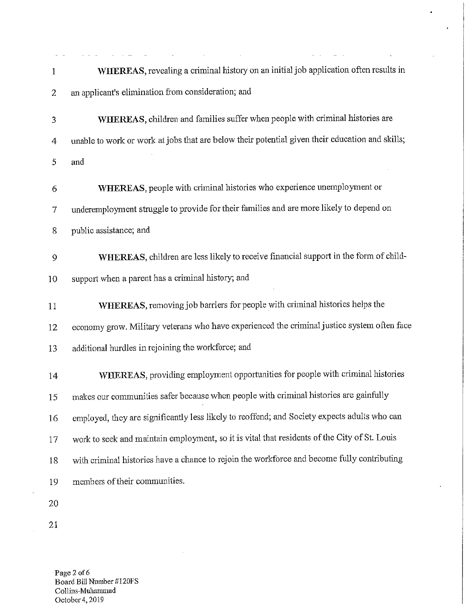| $\mathbf{1}$   | WHEREAS, revealing a criminal history on an initial job application often results in            |
|----------------|-------------------------------------------------------------------------------------------------|
| $\overline{2}$ | an applicant's elimination from consideration; and                                              |
| 3              | WHEREAS, children and families suffer when people with criminal histories are                   |
| 4              | unable to work or work at jobs that are below their potential given their education and skills; |
| 5              | and                                                                                             |
| 6              | WHEREAS, people with criminal histories who experience unemployment or                          |
| $\tau$         | underemployment struggle to provide for their families and are more likely to depend on         |
| 8              | public assistance; and                                                                          |
| $\mathcal{Q}$  | WHEREAS, children are less likely to receive financial support in the form of child-            |
| 10             | support when a parent has a criminal history; and                                               |
| 11             | WHEREAS, removing job barriers for people with criminal histories helps the                     |
| 12             | economy grow. Military veterans who have experienced the criminal justice system often face     |
| 13             | additional hurdles in rejoining the workforce; and                                              |
| 14             | WHEREAS, providing employment opportunities for people with criminal histories                  |
| 15             | makes our communities safer because when people with criminal histories are gainfully           |
| 16             | employed, they are significantly less likely to reoffend; and Society expects adults who can    |
| 17             | work to seek and maintain employment, so it is vital that residents of the City of St. Louis    |
| 18             | with criminal histories have a chance to rejoin the workforce and become fully contributing     |
| 19             | members of their communities.                                                                   |
| 20             |                                                                                                 |
| 21             |                                                                                                 |

 $\ddot{\phantom{1}}$ 

÷.

 $\ddot{\phantom{a}}$ 

Page 2 of 6<br>Board Bill Number #120FS<br>Collins-Muhammad October 4, 2019

 $\bar{z}$ 

 $\sim 10^{-1}$ 

 $\omega = \omega_0$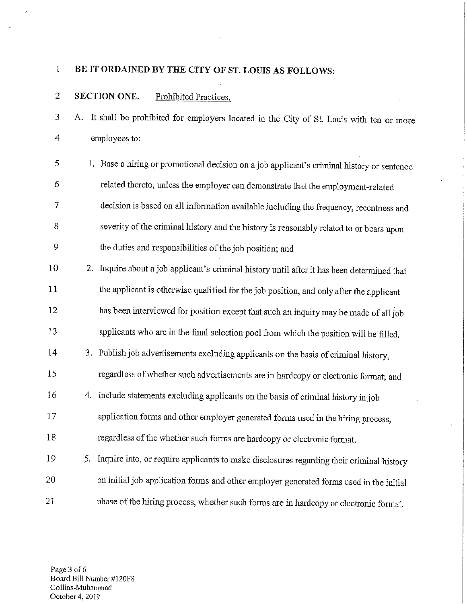#### $\mathbf{1}$ BE IT ORDAINED BY THE CITY OF ST. LOUIS AS FOLLOWS:

#### $\overline{2}$ SECTION ONE. Prohibited Practices.

A. It shall be prohibited for employers located in the City of St. Louis with ten or more 3  $\overline{4}$ employees to:

- 1. Base a hiring or promotional decision on a job applicant's criminal history or sentence 5 related thereto, unless the employer can demonstrate that the employment-related 6 decision is based on all information available including the frequency, recentness and 7 severity of the criminal history and the history is reasonably related to or bears upon 8 9 the duties and responsibilities of the job position; and
- 2. Inquire about a job applicant's criminal history until after it has been determined that 10 11 the applicant is otherwise qualified for the job position, and only after the applicant has been interviewed for position except that such an inquiry may be made of all job 12 applicants who are in the final selection pool from which the position will be filled. 13
- 14 3. Publish job advertisements excluding applicants on the basis of criminal history, regardless of whether such advertisements are in hardcopy or electronic format; and 15 4. Include statements excluding applicants on the basis of criminal history in job 16 17 application forms and other employer generated forms used in the hiring process,
- 18 regardless of the whether such forms are hardcopy or electronic format.
- 19 5. Inquire into, or require applicants to make disclosures regarding their criminal history 20 on initial job application forms and other employer generated forms used in the initial phase of the hiring process, whether such forms are in hardcopy or electronic format. 21

Page 3 of 6 Board Bill Number #120FS Collins-Muhammad October 4, 2019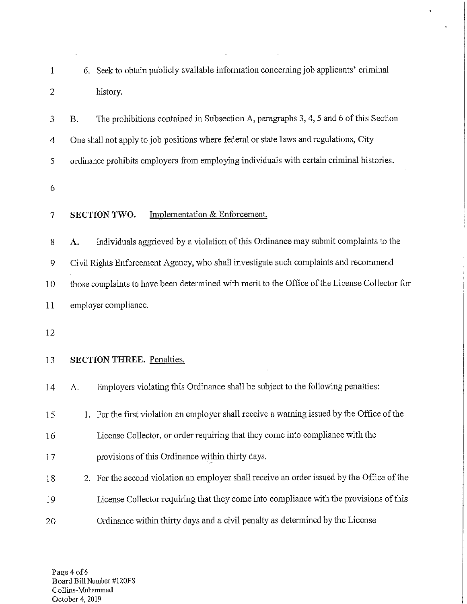| 6. Seek to obtain publicly available information concerning job applicants' criminal           |  |  |
|------------------------------------------------------------------------------------------------|--|--|
| history.                                                                                       |  |  |
| The prohibitions contained in Subsection A, paragraphs 3, 4, 5 and 6 of this Section<br>В.     |  |  |
| One shall not apply to job positions where federal or state laws and regulations, City         |  |  |
| ordinance prohibits employers from employing individuals with certain criminal histories.      |  |  |
|                                                                                                |  |  |
| Implementation & Enforcement.<br>SECTION TWO.                                                  |  |  |
| Individuals aggrieved by a violation of this Ordinance may submit complaints to the<br>А.      |  |  |
| Civil Rights Enforcement Agency, who shall investigate such complaints and recommend           |  |  |
| those complaints to have been determined with merit to the Office of the License Collector for |  |  |
| employer compliance.                                                                           |  |  |
|                                                                                                |  |  |
| <b>SECTION THREE.</b> Penalties.                                                               |  |  |
| Employers violating this Ordinance shall be subject to the following penalties:<br>А.          |  |  |
| 1. For the first violation an employer shall receive a warning issued by the Office of the     |  |  |
| License Collector, or order requiring that they come into compliance with the                  |  |  |
| provisions of this Ordinance within thirty days.                                               |  |  |
| 2. For the second violation an employer shall receive an order issued by the Office of the     |  |  |
| License Collector requiring that they come into compliance with the provisions of this         |  |  |
| Ordinance within thirty days and a civil penalty as determined by the License                  |  |  |
|                                                                                                |  |  |

 $\overline{a}$ 

 $\ddot{\phantom{a}}$ 

 $\ddot{\phantom{a}}$ 

Page 4 of 6<br>Board Bill Number #120FS<br>Collins-Muhammad<br>October 4, 2019

 $\overline{\phantom{a}}$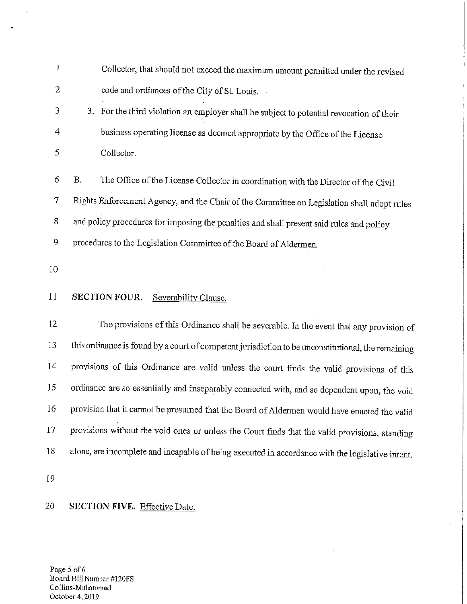| $\mathbf{1}$     |                                                                                                | Collector, that should not exceed the maximum amount permitted under the revised                   |  |
|------------------|------------------------------------------------------------------------------------------------|----------------------------------------------------------------------------------------------------|--|
| $\overline{2}$   |                                                                                                | code and ordiances of the City of St. Louis.                                                       |  |
| 3                |                                                                                                | 3. For the third violation an employer shall be subject to potential revocation of their           |  |
| $\overline{4}$   |                                                                                                | business operating license as deemed appropriate by the Office of the License                      |  |
| 5                |                                                                                                | Collector.                                                                                         |  |
| 6                | <b>B.</b>                                                                                      | The Office of the License Collector in coordination with the Director of the Civil                 |  |
| $\boldsymbol{7}$ |                                                                                                | Rights Enforcement Agency, and the Chair of the Committee on Legislation shall adopt rules         |  |
| 8                |                                                                                                | and policy procedures for imposing the penalties and shall present said rules and policy           |  |
| $\boldsymbol{9}$ |                                                                                                | procedures to the Legislation Committee of the Board of Aldermen.                                  |  |
| 10               |                                                                                                |                                                                                                    |  |
| 11               |                                                                                                | <b>SECTION FOUR.</b><br>Severability Clause.                                                       |  |
| 12               |                                                                                                | The provisions of this Ordinance shall be severable. In the event that any provision of            |  |
| 13               |                                                                                                | this ordinance is found by a court of competent jurisdiction to be unconstitutional, the remaining |  |
| 14               |                                                                                                | provisions of this Ordinance are valid unless the court finds the valid provisions of this         |  |
| 15               | ordinance are so essentially and inseparably connected with, and so dependent upon, the void   |                                                                                                    |  |
| 16               | provision that it cannot be presumed that the Board of Aldermen would have enacted the valid   |                                                                                                    |  |
| 17               | provisions without the void ones or unless the Court finds that the valid provisions, standing |                                                                                                    |  |
| 18               |                                                                                                | alone, are incomplete and incapable of being executed in accordance with the legislative intent.   |  |
| 19               |                                                                                                |                                                                                                    |  |

### SECTION FIVE. Effective Date. 20

 $\bar{\mathcal{A}}$ 

Page 5 of 6<br>Board Bill Number #120FS Collins-Muhammad October 4, 2019

 $\ddot{\phantom{a}}$ 

 $\delta$